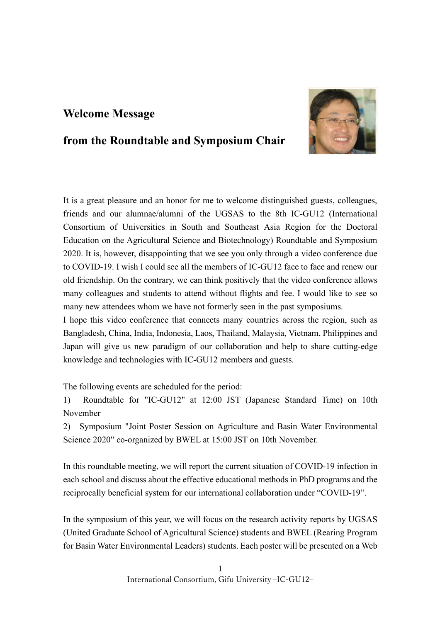#### **Welcome Message**



## **from the Roundtable and Symposium Chair**

It is a great pleasure and an honor for me to welcome distinguished guests, colleagues, friends and our alumnae/alumni of the UGSAS to the 8th IC-GU12 (International Consortium of Universities in South and Southeast Asia Region for the Doctoral Education on the Agricultural Science and Biotechnology) Roundtable and Symposium 2020. It is, however, disappointing that we see you only through a video conference due to COVID-19. I wish I could see all the members of IC-GU12 face to face and renew our old friendship. On the contrary, we can think positively that the video conference allows many colleagues and students to attend without flights and fee. I would like to see so many new attendees whom we have not formerly seen in the past symposiums.

I hope this video conference that connects many countries across the region, such as Bangladesh, China, India, Indonesia, Laos, Thailand, Malaysia, Vietnam, Philippines and Japan will give us new paradigm of our collaboration and help to share cutting-edge knowledge and technologies with IC-GU12 members and guests.

The following events are scheduled for the period:

1) Roundtable for "IC-GU12" at 12:00 JST (Japanese Standard Time) on 10th November

2) Symposium "Joint Poster Session on Agriculture and Basin Water Environmental Science 2020" co-organized by BWEL at 15:00 JST on 10th November.

In this roundtable meeting, we will report the current situation of COVID-19 infection in each school and discuss about the effective educational methods in PhD programs and the reciprocally beneficial system for our international collaboration under "COVID-19".

In the symposium of this year, we will focus on the research activity reports by UGSAS (United Graduate School of Agricultural Science) students and BWEL (Rearing Program for Basin Water Environmental Leaders) students. Each poster will be presented on a Web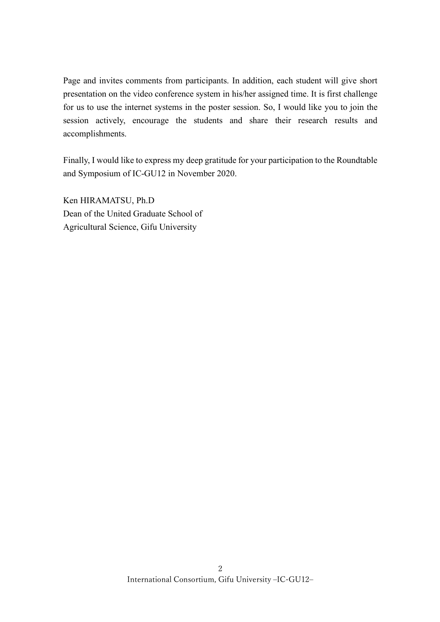Page and invites comments from participants. In addition, each student will give short presentation on the video conference system in his/her assigned time. It is first challenge for us to use the internet systems in the poster session. So, I would like you to join the session actively, encourage the students and share their research results and accomplishments.

Finally, I would like to express my deep gratitude for your participation to the Roundtable and Symposium of IC-GU12 in November 2020.

Ken HIRAMATSU, Ph.D Dean of the United Graduate School of Agricultural Science, Gifu University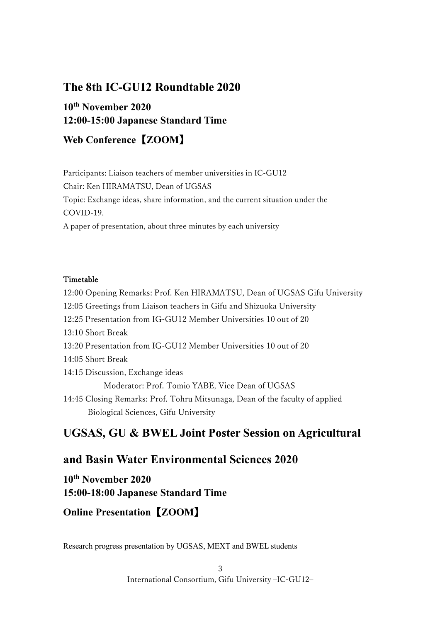## **The 8th IC-GU12 Roundtable 2020**

# **10th November 2020 12:00-15:00 Japanese Standard Time**

## **Web Conference**【**ZOOM**】

Participants: Liaison teachers of member universities in IC-GU12 Chair: Ken HIRAMATSU, Dean of UGSAS Topic: Exchange ideas, share information, and the current situation under the COVID-19. A paper of presentation, about three minutes by each university

#### Timetable

12:00 Opening Remarks: Prof. Ken HIRAMATSU, Dean of UGSAS Gifu University 12:05 Greetings from Liaison teachers in Gifu and Shizuoka University 12:25 Presentation from IG-GU12 Member Universities 10 out of 20 13:10 Short Break 13:20 Presentation from IG-GU12 Member Universities 10 out of 20 14:05 Short Break 14:15 Discussion, Exchange ideas Moderator: Prof. Tomio YABE, Vice Dean of UGSAS 14:45 Closing Remarks: Prof. Tohru Mitsunaga, Dean of the faculty of applied Biological Sciences, Gifu University

## **UGSAS, GU & BWEL Joint Poster Session on Agricultural**

#### **and Basin Water Environmental Sciences 2020**

#### **10th November 2020**

**15:00-18:00 Japanese Standard Time**

#### **Online Presentation**【**ZOOM**】

Research progress presentation by UGSAS, MEXT and BWEL students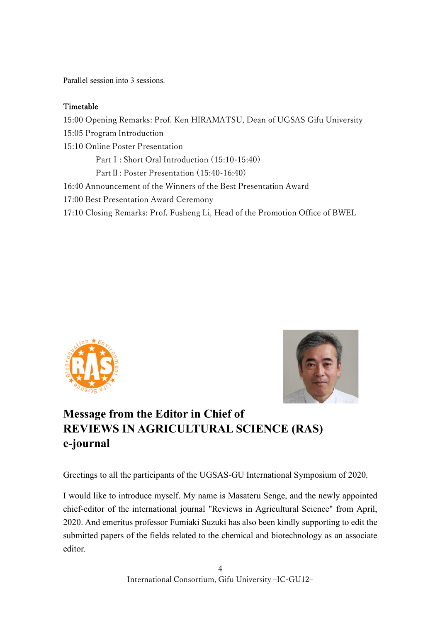Parallel session into 3 sessions.

#### Timetable

15:00 Opening Remarks: Prof. Ken HIRAMATSU, Dean of UGSAS Gifu University 15:05 Program Introduction 15:10 Online Poster Presentation Part I: Short Oral Introduction (15:10-15:40) PartⅡ: Poster Presentation (15:40-16:40) 16:40 Announcement of the Winners of the Best Presentation Award 17:00 Best Presentation Award Ceremony 17:10 Closing Remarks: Prof. Fusheng Li, Head of the Promotion Office of BWEL





# **Message from the Editor in Chief of REVIEWS IN AGRICULTURAL SCIENCE (RAS) e-journal**

Greetings to all the participants of the UGSAS-GU International Symposium of 2020.

I would like to introduce myself. My name is Masateru Senge, and the newly appointed chief-editor of the international journal "Reviews in Agricultural Science" from April, 2020. And emeritus professor Fumiaki Suzuki has also been kindly supporting to edit the submitted papers of the fields related to the chemical and biotechnology as an associate editor.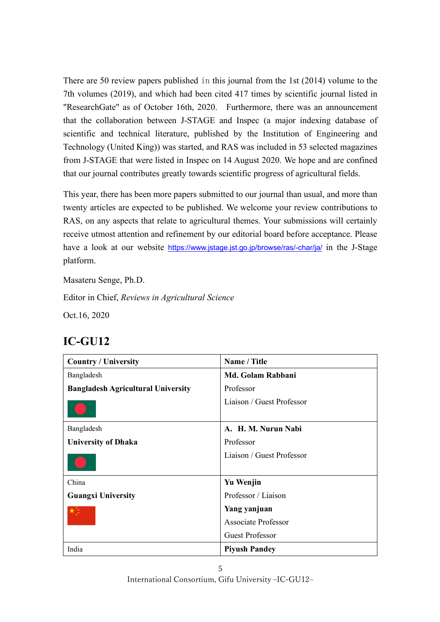There are 50 review papers published in this journal from the 1st (2014) volume to the 7th volumes (2019), and which had been cited 417 times by scientific journal listed in "ResearchGate" as of October 16th, 2020. Furthermore, there was an announcement that the collaboration between J-STAGE and Inspec (a major indexing database of scientific and technical literature, published by the Institution of Engineering and Technology (United King)) was started, and RAS was included in 53 selected magazines from J-STAGE that were listed in Inspec on 14 August 2020. We hope and are confined that our journal contributes greatly towards scientific progress of agricultural fields.

This year, there has been more papers submitted to our journal than usual, and more than twenty articles are expected to be published. We welcome your review contributions to RAS, on any aspects that relate to agricultural themes. Your submissions will certainly receive utmost attention and refinement by our editorial board before acceptance. Please have a look at our website https://www.jstage.jst.go.jp/browse/ras/-char/ja/ in the J-Stage platform.

Masateru Senge, Ph.D.

Editor in Chief, *Reviews in Agricultural Science*

Oct.16, 2020

# **IC-GU12**

| <b>Country / University</b>               | Name / Title               |  |
|-------------------------------------------|----------------------------|--|
| Bangladesh                                | Md. Golam Rabbani          |  |
| <b>Bangladesh Agricultural University</b> | Professor                  |  |
|                                           | Liaison / Guest Professor  |  |
| Bangladesh                                | A. H. M. Nurun Nabi        |  |
| <b>University of Dhaka</b>                | Professor                  |  |
|                                           | Liaison / Guest Professor  |  |
| China                                     | <b>Yu Wenjin</b>           |  |
| <b>Guangxi University</b>                 | Professor / Liaison        |  |
|                                           | Yang yanjuan               |  |
|                                           | <b>Associate Professor</b> |  |
|                                           | Guest Professor            |  |
| India                                     | <b>Piyush Pandey</b>       |  |

International Consortium, Gifu University -IC-GU12-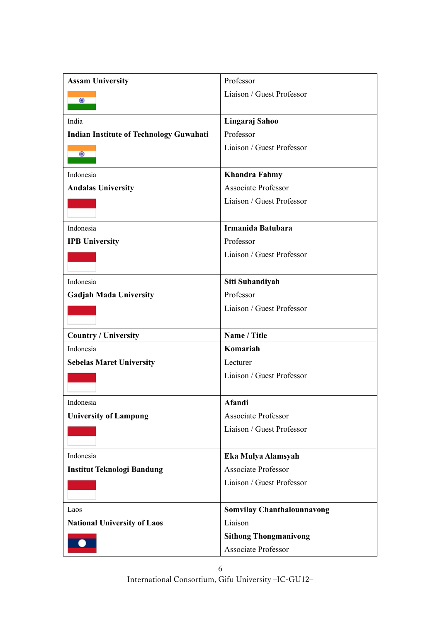| <b>Assam University</b>                        | Professor                         |  |  |
|------------------------------------------------|-----------------------------------|--|--|
| $\circledcirc$                                 | Liaison / Guest Professor         |  |  |
|                                                |                                   |  |  |
| India                                          | Lingaraj Sahoo                    |  |  |
| <b>Indian Institute of Technology Guwahati</b> | Professor                         |  |  |
| $\bullet$                                      | Liaison / Guest Professor         |  |  |
|                                                |                                   |  |  |
| Indonesia                                      | <b>Khandra Fahmy</b>              |  |  |
| <b>Andalas University</b>                      | <b>Associate Professor</b>        |  |  |
|                                                | Liaison / Guest Professor         |  |  |
|                                                |                                   |  |  |
| Indonesia                                      | Irmanida Batubara                 |  |  |
| <b>IPB</b> University                          | Professor                         |  |  |
|                                                | Liaison / Guest Professor         |  |  |
|                                                |                                   |  |  |
| Indonesia                                      | Siti Subandiyah                   |  |  |
| <b>Gadjah Mada University</b>                  | Professor                         |  |  |
|                                                | Liaison / Guest Professor         |  |  |
|                                                |                                   |  |  |
| <b>Country / University</b>                    | Name / Title                      |  |  |
| Indonesia                                      | Komariah                          |  |  |
| <b>Sebelas Maret University</b>                | Lecturer                          |  |  |
|                                                | Liaison / Guest Professor         |  |  |
|                                                |                                   |  |  |
| Indonesia                                      | Afandi                            |  |  |
| <b>University of Lampung</b>                   | <b>Associate Professor</b>        |  |  |
|                                                | Liaison / Guest Professor         |  |  |
|                                                |                                   |  |  |
| Indonesia                                      | Eka Mulya Alamsyah                |  |  |
| <b>Institut Teknologi Bandung</b>              | <b>Associate Professor</b>        |  |  |
|                                                | Liaison / Guest Professor         |  |  |
|                                                |                                   |  |  |
| Laos                                           | <b>Somvilay Chanthalounnavong</b> |  |  |
| <b>National University of Laos</b>             | Liaison                           |  |  |
|                                                | <b>Sithong Thongmanivong</b>      |  |  |
|                                                | Associate Professor               |  |  |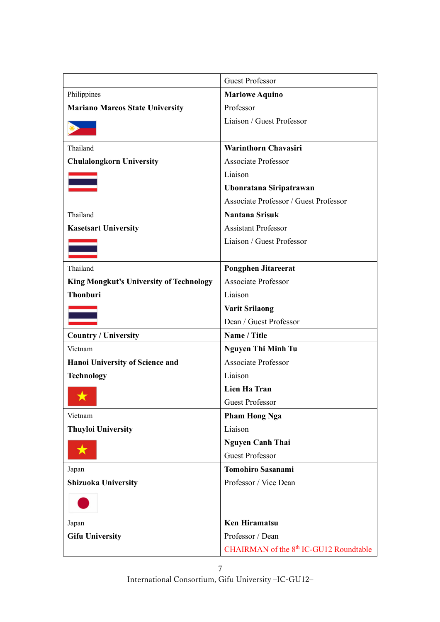|                                                | <b>Guest Professor</b>                             |  |  |
|------------------------------------------------|----------------------------------------------------|--|--|
| Philippines                                    | <b>Marlowe Aquino</b>                              |  |  |
| <b>Mariano Marcos State University</b>         | Professor                                          |  |  |
|                                                | Liaison / Guest Professor                          |  |  |
|                                                |                                                    |  |  |
| Thailand                                       | <b>Warinthorn Chavasiri</b>                        |  |  |
| <b>Chulalongkorn University</b>                | <b>Associate Professor</b>                         |  |  |
|                                                | Liaison                                            |  |  |
|                                                | Ubonratana Siripatrawan                            |  |  |
|                                                | Associate Professor / Guest Professor              |  |  |
| Thailand                                       | <b>Nantana Srisuk</b>                              |  |  |
| <b>Kasetsart University</b>                    | <b>Assistant Professor</b>                         |  |  |
|                                                | Liaison / Guest Professor                          |  |  |
|                                                |                                                    |  |  |
| Thailand                                       | <b>Pongphen Jitareerat</b>                         |  |  |
| <b>King Mongkut's University of Technology</b> | <b>Associate Professor</b>                         |  |  |
| Thonburi                                       | Liaison                                            |  |  |
|                                                | <b>Varit Srilaong</b>                              |  |  |
|                                                | Dean / Guest Professor                             |  |  |
| <b>Country / University</b>                    | Name / Title                                       |  |  |
| Vietnam                                        | <b>Nguyen Thi Minh Tu</b>                          |  |  |
| Hanoi University of Science and                | <b>Associate Professor</b>                         |  |  |
| <b>Technology</b>                              | Liaison                                            |  |  |
|                                                | Lien Ha Tran                                       |  |  |
|                                                | Guest Professor                                    |  |  |
| Vietnam                                        | <b>Pham Hong Nga</b>                               |  |  |
| <b>Thuyloi University</b>                      | Liaison                                            |  |  |
|                                                | <b>Nguyen Canh Thai</b>                            |  |  |
|                                                | <b>Guest Professor</b>                             |  |  |
| Japan                                          | <b>Tomohiro Sasanami</b>                           |  |  |
| <b>Shizuoka University</b>                     | Professor / Vice Dean                              |  |  |
|                                                |                                                    |  |  |
| Japan                                          | <b>Ken Hiramatsu</b>                               |  |  |
| <b>Gifu University</b>                         | Professor / Dean                                   |  |  |
|                                                | CHAIRMAN of the 8 <sup>th</sup> IC-GU12 Roundtable |  |  |